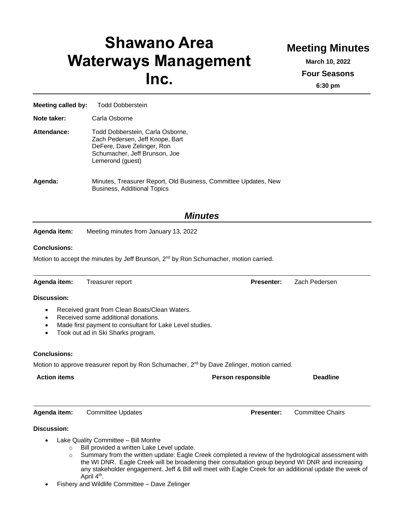# **Shawano Area Waterways Management Inc.**

## **Meeting Minutes**

**March 10, 2022 Four Seasons**

**6:30 pm**

| <b>Meeting called by:</b> | <b>Todd Dobberstein</b>                                                                                                                                |
|---------------------------|--------------------------------------------------------------------------------------------------------------------------------------------------------|
| Note taker:               | Carla Osborne                                                                                                                                          |
| Attendance:               | Todd Dobberstein, Carla Osborne,<br>Zach Pedersen, Jeff Knope, Bart<br>DeFere, Dave Zelinger, Ron<br>Schumacher, Jeff Brunson, Joe<br>Lemerond (quest) |
| Agenda:                   | Minutes, Treasurer Report, Old Business, Committee Updates, New<br><b>Business, Additional Topics</b>                                                  |

### *Minutes*

**Agenda item:** Meeting minutes from January 13, 2022

#### **Conclusions:**

Motion to accept the minutes by Jeff Brunson,  $2<sup>nd</sup>$  by Ron Schumacher, motion carried.

| Agenda item:           | Treasurer report                                                                                                                                                                       | <b>Presenter:</b>  | Zach Pedersen           |
|------------------------|----------------------------------------------------------------------------------------------------------------------------------------------------------------------------------------|--------------------|-------------------------|
| <b>Discussion:</b>     |                                                                                                                                                                                        |                    |                         |
| $\bullet$<br>$\bullet$ | Received grant from Clean Boats/Clean Waters.<br>Received some additional donations.<br>Made first payment to consultant for Lake Level studies.<br>Took out ad in Ski Sharks program. |                    |                         |
| <b>Conclusions:</b>    |                                                                                                                                                                                        |                    |                         |
|                        | Motion to approve treasurer report by Ron Schumacher, 2 <sup>nd</sup> by Dave Zelinger, motion carried.                                                                                |                    |                         |
| <b>Action items</b>    |                                                                                                                                                                                        | Person responsible | <b>Deadline</b>         |
| Agenda item:           | <b>Committee Updates</b>                                                                                                                                                               | <b>Presenter:</b>  | <b>Committee Chairs</b> |
| <b>Discussion:</b>     |                                                                                                                                                                                        |                    |                         |
| ٠                      | Lake Quality Committee - Bill Monfre                                                                                                                                                   |                    |                         |

- o Bill provided a written Lake Level update.
- o Summary from the written update: Eagle Creek completed a review of the hydrological assessment with the WI DNR. Eagle Creek will be broadening their consultation group beyond WI DNR and increasing any stakeholder engagement. Jeff & Bill will meet with Eagle Creek for an additional update the week of April 4<sup>th</sup>.
- Fishery and Wildlife Committee Dave Zelinger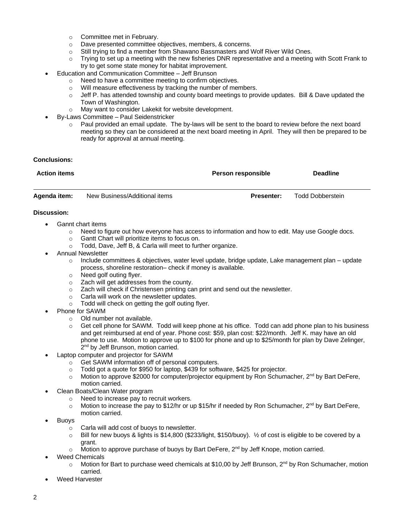- o Committee met in February.
- o Dave presented committee objectives, members, & concerns.
- o Still trying to find a member from Shawano Bassmasters and Wolf River Wild Ones.
- $\circ$  Trying to set up a meeting with the new fisheries DNR representative and a meeting with Scott Frank to try to get some state money for habitat improvement.
- Education and Communication Committee Jeff Brunson
	- o Need to have a committee meeting to confirm objectives.
	- o Will measure effectiveness by tracking the number of members.
	- $\circ$  Jeff P. has attended township and county board meetings to provide updates. Bill & Dave updated the Town of Washington.
	- o May want to consider Lakekit for website development.
- By-Laws Committee Paul Seidenstricker
	- o Paul provided an email update. The by-laws will be sent to the board to review before the next board meeting so they can be considered at the next board meeting in April. They will then be prepared to be ready for approval at annual meeting.

#### **Conclusions:**

| <b>Action items</b> |                               | <b>Person responsible</b> | <b>Deadline</b>  |  |
|---------------------|-------------------------------|---------------------------|------------------|--|
|                     |                               |                           |                  |  |
| Agenda item:        | New Business/Additional items | <b>Presenter:</b>         | Todd Dobberstein |  |

#### **Discussion:**

- Gannt chart items
	- $\circ$  Need to figure out how everyone has access to information and how to edit. May use Google docs.
	- o Gantt Chart will prioritize items to focus on.
	- o Todd, Dave, Jeff B, & Carla will meet to further organize.
- Annual Newsletter
	- $\circ$  Include committees & objectives, water level update, bridge update, Lake management plan update process, shoreline restoration– check if money is available.
	- o Need golf outing flyer.
	- o Zach will get addresses from the county.
	- o Zach will check if Christensen printing can print and send out the newsletter.
	- o Carla will work on the newsletter updates.
	- o Todd will check on getting the golf outing flyer.
- Phone for SAWM
	- o Old number not available.
	- $\circ$  Get cell phone for SAWM. Todd will keep phone at his office. Todd can add phone plan to his business and get reimbursed at end of year. Phone cost: \$59, plan cost: \$22/month. Jeff K. may have an old phone to use. Motion to approve up to \$100 for phone and up to \$25/month for plan by Dave Zelinger, 2<sup>nd</sup> by Jeff Brunson, motion carried.
- Laptop computer and projector for SAWM
	- o Get SAWM information off of personal computers.
	- o Todd got a quote for \$950 for laptop, \$439 for software, \$425 for projector.
	- $\circ$  Motion to approve \$2000 for computer/projector equipment by Ron Schumacher, 2<sup>nd</sup> by Bart DeFere, motion carried.
- Clean Boats/Clean Water program
	- o Need to increase pay to recruit workers.
	- $\circ$  Motion to increase the pay to \$12/hr or up \$15/hr if needed by Ron Schumacher, 2<sup>nd</sup> by Bart DeFere, motion carried.
- **Buoys** 
	- o Carla will add cost of buoys to newsletter.
	- $\circ$  Bill for new buoys & lights is \$14,800 (\$233/light, \$150/buoy).  $\frac{1}{2}$  of cost is eligible to be covered by a grant.
	- $\circ$  Motion to approve purchase of buoys by Bart DeFere, 2<sup>nd</sup> by Jeff Knope, motion carried.
- Weed Chemicals
	- o Motion for Bart to purchase weed chemicals at \$10,00 by Jeff Brunson, 2<sup>nd</sup> by Ron Schumacher, motion carried.
- Weed Harvester